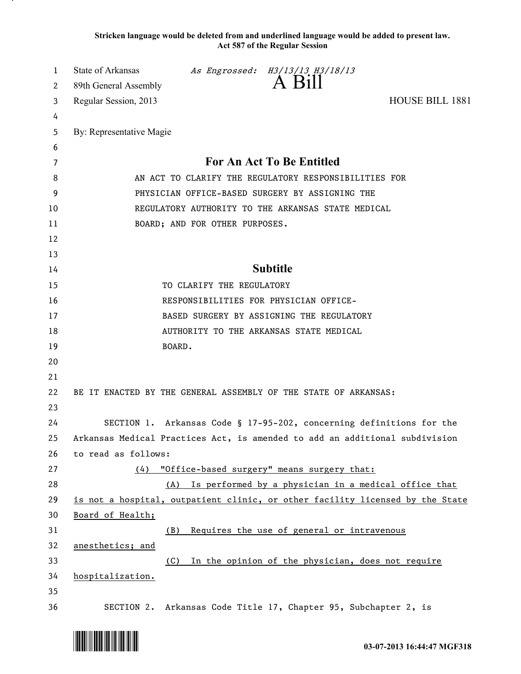**Stricken language would be deleted from and underlined language would be added to present law. Act 587 of the Regular Session**

| 1  | <b>State of Arkansas</b>                                                      |        | As Engrossed: $\overset{\textit{H3/13/13}}{\text{A}} \overset{\textit{H3/18/13}}{\text{All}}$ |                        |  |
|----|-------------------------------------------------------------------------------|--------|-----------------------------------------------------------------------------------------------|------------------------|--|
| 2  | 89th General Assembly                                                         |        |                                                                                               |                        |  |
| 3  | Regular Session, 2013                                                         |        |                                                                                               | <b>HOUSE BILL 1881</b> |  |
| 4  |                                                                               |        |                                                                                               |                        |  |
| 5  | By: Representative Magie                                                      |        |                                                                                               |                        |  |
| 6  |                                                                               |        |                                                                                               |                        |  |
| 7  | For An Act To Be Entitled                                                     |        |                                                                                               |                        |  |
| 8  | AN ACT TO CLARIFY THE REGULATORY RESPONSIBILITIES FOR                         |        |                                                                                               |                        |  |
| 9  | PHYSICIAN OFFICE-BASED SURGERY BY ASSIGNING THE                               |        |                                                                                               |                        |  |
| 10 | REGULATORY AUTHORITY TO THE ARKANSAS STATE MEDICAL                            |        |                                                                                               |                        |  |
| 11 | BOARD; AND FOR OTHER PURPOSES.                                                |        |                                                                                               |                        |  |
| 12 |                                                                               |        |                                                                                               |                        |  |
| 13 |                                                                               |        |                                                                                               |                        |  |
| 14 | <b>Subtitle</b>                                                               |        |                                                                                               |                        |  |
| 15 | TO CLARIFY THE REGULATORY                                                     |        |                                                                                               |                        |  |
| 16 |                                                                               |        | RESPONSIBILITIES FOR PHYSICIAN OFFICE-                                                        |                        |  |
| 17 | BASED SURGERY BY ASSIGNING THE REGULATORY                                     |        |                                                                                               |                        |  |
| 18 | AUTHORITY TO THE ARKANSAS STATE MEDICAL                                       |        |                                                                                               |                        |  |
| 19 |                                                                               | BOARD. |                                                                                               |                        |  |
| 20 |                                                                               |        |                                                                                               |                        |  |
| 21 |                                                                               |        |                                                                                               |                        |  |
| 22 | BE IT ENACTED BY THE GENERAL ASSEMBLY OF THE STATE OF ARKANSAS:               |        |                                                                                               |                        |  |
| 23 |                                                                               |        |                                                                                               |                        |  |
| 24 | SECTION 1. Arkansas Code § 17-95-202, concerning definitions for the          |        |                                                                                               |                        |  |
| 25 | Arkansas Medical Practices Act, is amended to add an additional subdivision   |        |                                                                                               |                        |  |
| 26 | to read as follows:                                                           |        |                                                                                               |                        |  |
| 27 | (4)                                                                           |        | "Office-based surgery" means surgery that:                                                    |                        |  |
| 28 | (A)                                                                           |        | Is performed by a physician in a medical office that                                          |                        |  |
| 29 | is not a hospital, outpatient clinic, or other facility licensed by the State |        |                                                                                               |                        |  |
| 30 | Board of Health;                                                              |        |                                                                                               |                        |  |
| 31 | (B)                                                                           |        | Requires the use of general or intravenous                                                    |                        |  |
| 32 | anesthetics; and                                                              |        |                                                                                               |                        |  |
| 33 | (C)                                                                           |        | In the opinion of the physician, does not require                                             |                        |  |
| 34 | hospitalization.                                                              |        |                                                                                               |                        |  |
| 35 |                                                                               |        |                                                                                               |                        |  |
| 36 |                                                                               |        | SECTION 2. Arkansas Code Title 17, Chapter 95, Subchapter 2, is                               |                        |  |